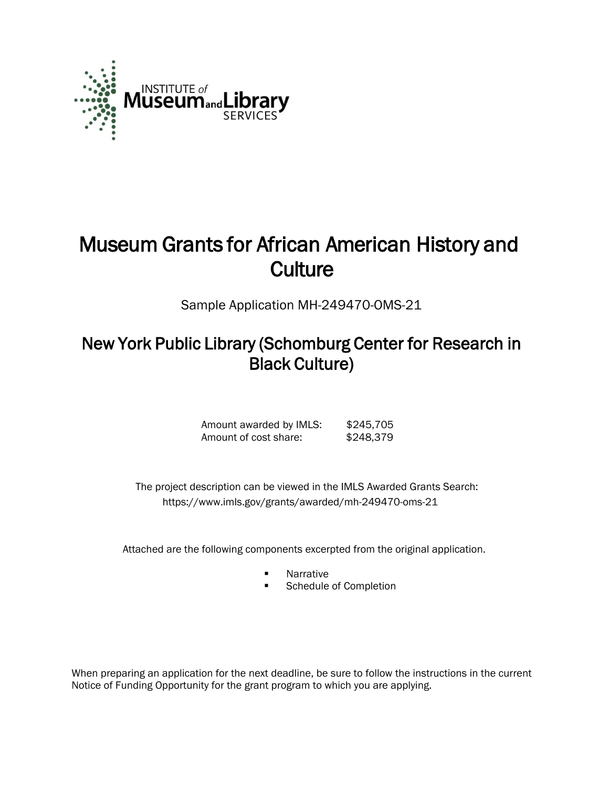

# Museum Grants for African American History and **Culture**

Sample Application MH-249470-OMS-21

# New York Public Library (Schomburg Center for Research in Black Culture)

Amount awarded by IMLS: \$245,705<br>Amount of cost share: \$248,379 Amount of cost share:

 The project description can be viewed in the IMLS Awarded Grants Search: <https://www.imls.gov/grants/awarded/mh-249470-oms-21>

Attached are the following components excerpted from the original application.

- **Narrative**
- Schedule of Completion

When preparing an application for the next deadline, be sure to follow the instructions in the current Notice of Funding Opportunity for the grant program to which you are applying.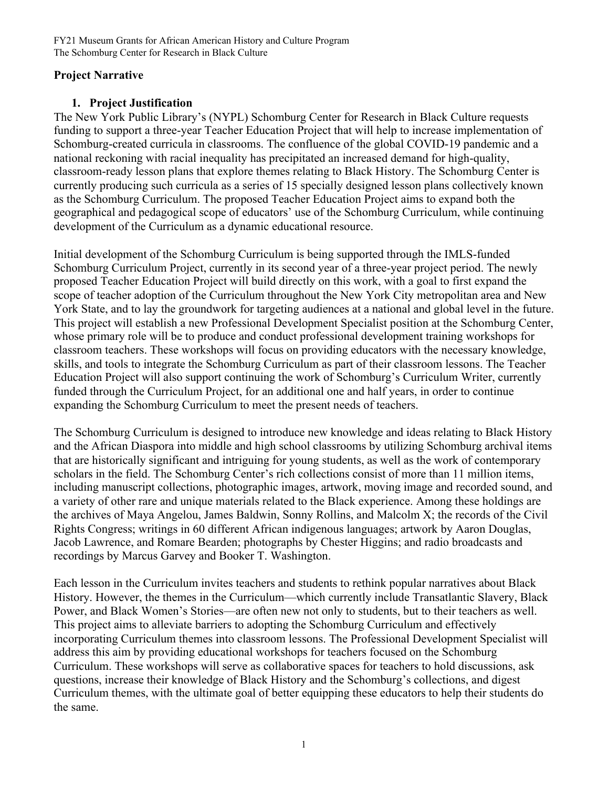#### **Project Narrative**

## **1. Project Justification**

The New York Public Library's (NYPL) Schomburg Center for Research in Black Culture requests funding to support a three-year Teacher Education Project that will help to increase implementation of Schomburg-created curricula in classrooms. The confluence of the global COVID-19 pandemic and a national reckoning with racial inequality has precipitated an increased demand for high-quality, classroom-ready lesson plans that explore themes relating to Black History. The Schomburg Center is currently producing such curricula as a series of 15 specially designed lesson plans collectively known as the Schomburg Curriculum. The proposed Teacher Education Project aims to expand both the geographical and pedagogical scope of educators' use of the Schomburg Curriculum, while continuing development of the Curriculum as a dynamic educational resource.

Initial development of the Schomburg Curriculum is being supported through the IMLS-funded Schomburg Curriculum Project, currently in its second year of a three-year project period. The newly proposed Teacher Education Project will build directly on this work, with a goal to first expand the scope of teacher adoption of the Curriculum throughout the New York City metropolitan area and New York State, and to lay the groundwork for targeting audiences at a national and global level in the future. This project will establish a new Professional Development Specialist position at the Schomburg Center, whose primary role will be to produce and conduct professional development training workshops for classroom teachers. These workshops will focus on providing educators with the necessary knowledge, skills, and tools to integrate the Schomburg Curriculum as part of their classroom lessons. The Teacher Education Project will also support continuing the work of Schomburg's Curriculum Writer, currently funded through the Curriculum Project, for an additional one and half years, in order to continue expanding the Schomburg Curriculum to meet the present needs of teachers.

The Schomburg Curriculum is designed to introduce new knowledge and ideas relating to Black History and the African Diaspora into middle and high school classrooms by utilizing Schomburg archival items that are historically significant and intriguing for young students, as well as the work of contemporary scholars in the field. The Schomburg Center's rich collections consist of more than 11 million items, including manuscript collections, photographic images, artwork, moving image and recorded sound, and a variety of other rare and unique materials related to the Black experience. Among these holdings are the archives of Maya Angelou, James Baldwin, Sonny Rollins, and Malcolm X; the records of the Civil Rights Congress; writings in 60 different African indigenous languages; artwork by Aaron Douglas, Jacob Lawrence, and Romare Bearden; photographs by Chester Higgins; and radio broadcasts and recordings by Marcus Garvey and Booker T. Washington.

Each lesson in the Curriculum invites teachers and students to rethink popular narratives about Black History. However, the themes in the Curriculum—which currently include Transatlantic Slavery, Black Power, and Black Women's Stories—are often new not only to students, but to their teachers as well. This project aims to alleviate barriers to adopting the Schomburg Curriculum and effectively incorporating Curriculum themes into classroom lessons. The Professional Development Specialist will address this aim by providing educational workshops for teachers focused on the Schomburg Curriculum. These workshops will serve as collaborative spaces for teachers to hold discussions, ask questions, increase their knowledge of Black History and the Schomburg's collections, and digest Curriculum themes, with the ultimate goal of better equipping these educators to help their students do the same.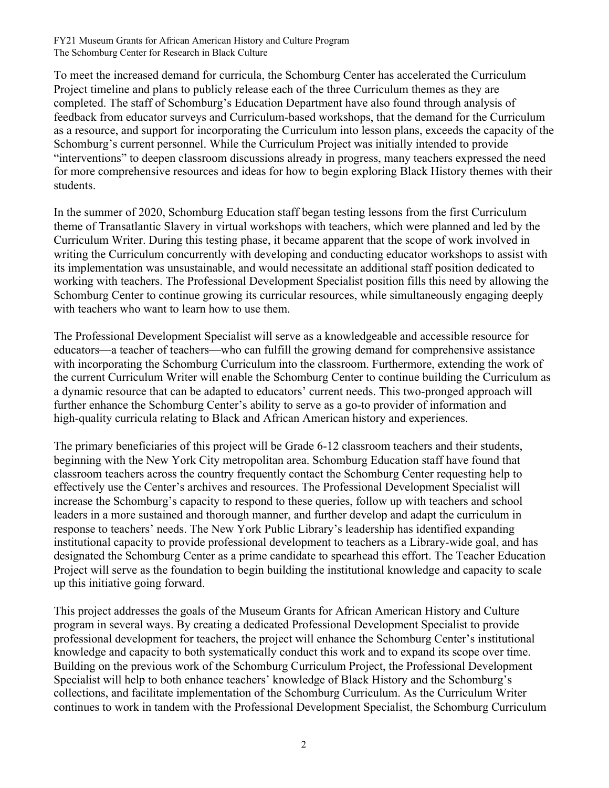To meet the increased demand for curricula, the Schomburg Center has accelerated the Curriculum Project timeline and plans to publicly release each of the three Curriculum themes as they are completed. The staff of Schomburg's Education Department have also found through analysis of feedback from educator surveys and Curriculum-based workshops, that the demand for the Curriculum as a resource, and support for incorporating the Curriculum into lesson plans, exceeds the capacity of the Schomburg's current personnel. While the Curriculum Project was initially intended to provide "interventions" to deepen classroom discussions already in progress, many teachers expressed the need for more comprehensive resources and ideas for how to begin exploring Black History themes with their students.

In the summer of 2020, Schomburg Education staff began testing lessons from the first Curriculum theme of Transatlantic Slavery in virtual workshops with teachers, which were planned and led by the Curriculum Writer. During this testing phase, it became apparent that the scope of work involved in writing the Curriculum concurrently with developing and conducting educator workshops to assist with its implementation was unsustainable, and would necessitate an additional staff position dedicated to working with teachers. The Professional Development Specialist position fills this need by allowing the Schomburg Center to continue growing its curricular resources, while simultaneously engaging deeply with teachers who want to learn how to use them.

The Professional Development Specialist will serve as a knowledgeable and accessible resource for educators—a teacher of teachers—who can fulfill the growing demand for comprehensive assistance with incorporating the Schomburg Curriculum into the classroom. Furthermore, extending the work of the current Curriculum Writer will enable the Schomburg Center to continue building the Curriculum as a dynamic resource that can be adapted to educators' current needs. This two-pronged approach will further enhance the Schomburg Center's ability to serve as a go-to provider of information and high-quality curricula relating to Black and African American history and experiences.

The primary beneficiaries of this project will be Grade 6-12 classroom teachers and their students, beginning with the New York City metropolitan area. Schomburg Education staff have found that classroom teachers across the country frequently contact the Schomburg Center requesting help to effectively use the Center's archives and resources. The Professional Development Specialist will increase the Schomburg's capacity to respond to these queries, follow up with teachers and school leaders in a more sustained and thorough manner, and further develop and adapt the curriculum in response to teachers' needs. The New York Public Library's leadership has identified expanding institutional capacity to provide professional development to teachers as a Library-wide goal, and has designated the Schomburg Center as a prime candidate to spearhead this effort. The Teacher Education Project will serve as the foundation to begin building the institutional knowledge and capacity to scale up this initiative going forward.

This project addresses the goals of the Museum Grants for African American History and Culture program in several ways. By creating a dedicated Professional Development Specialist to provide professional development for teachers, the project will enhance the Schomburg Center's institutional knowledge and capacity to both systematically conduct this work and to expand its scope over time. Building on the previous work of the Schomburg Curriculum Project, the Professional Development Specialist will help to both enhance teachers' knowledge of Black History and the Schomburg's collections, and facilitate implementation of the Schomburg Curriculum. As the Curriculum Writer continues to work in tandem with the Professional Development Specialist, the Schomburg Curriculum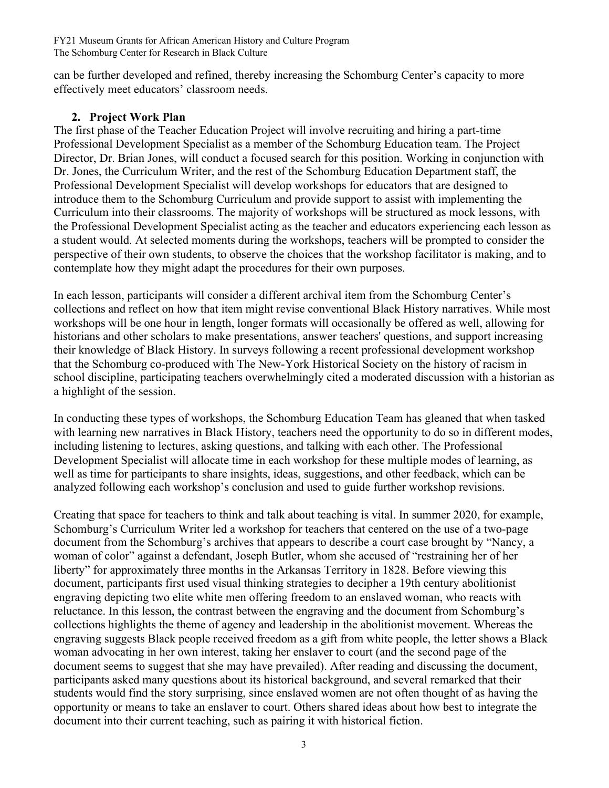can be further developed and refined, thereby increasing the Schomburg Center's capacity to more effectively meet educators' classroom needs.

## **2. Project Work Plan**

The first phase of the Teacher Education Project will involve recruiting and hiring a part-time Professional Development Specialist as a member of the Schomburg Education team. The Project Director, Dr. Brian Jones, will conduct a focused search for this position. Working in conjunction with Dr. Jones, the Curriculum Writer, and the rest of the Schomburg Education Department staff, the Professional Development Specialist will develop workshops for educators that are designed to introduce them to the Schomburg Curriculum and provide support to assist with implementing the Curriculum into their classrooms. The majority of workshops will be structured as mock lessons, with the Professional Development Specialist acting as the teacher and educators experiencing each lesson as a student would. At selected moments during the workshops, teachers will be prompted to consider the perspective of their own students, to observe the choices that the workshop facilitator is making, and to contemplate how they might adapt the procedures for their own purposes.

In each lesson, participants will consider a different archival item from the Schomburg Center's collections and reflect on how that item might revise conventional Black History narratives. While most workshops will be one hour in length, longer formats will occasionally be offered as well, allowing for historians and other scholars to make presentations, answer teachers' questions, and support increasing their knowledge of Black History. In surveys following a recent professional development workshop that the Schomburg co-produced with The New-York Historical Society on the history of racism in school discipline, participating teachers overwhelmingly cited a moderated discussion with a historian as a highlight of the session.

In conducting these types of workshops, the Schomburg Education Team has gleaned that when tasked with learning new narratives in Black History, teachers need the opportunity to do so in different modes, including listening to lectures, asking questions, and talking with each other. The Professional Development Specialist will allocate time in each workshop for these multiple modes of learning, as well as time for participants to share insights, ideas, suggestions, and other feedback, which can be analyzed following each workshop's conclusion and used to guide further workshop revisions.

Creating that space for teachers to think and talk about teaching is vital. In summer 2020, for example, Schomburg's Curriculum Writer led a workshop for teachers that centered on the use of a two-page document from the Schomburg's archives that appears to describe a court case brought by "Nancy, a woman of color" against a defendant, Joseph Butler, whom she accused of "restraining her of her liberty" for approximately three months in the Arkansas Territory in 1828. Before viewing this document, participants first used visual thinking strategies to decipher a 19th century abolitionist engraving depicting two elite white men offering freedom to an enslaved woman, who reacts with reluctance. In this lesson, the contrast between the engraving and the document from Schomburg's collections highlights the theme of agency and leadership in the abolitionist movement. Whereas the engraving suggests Black people received freedom as a gift from white people, the letter shows a Black woman advocating in her own interest, taking her enslaver to court (and the second page of the document seems to suggest that she may have prevailed). After reading and discussing the document, participants asked many questions about its historical background, and several remarked that their students would find the story surprising, since enslaved women are not often thought of as having the opportunity or means to take an enslaver to court. Others shared ideas about how best to integrate the document into their current teaching, such as pairing it with historical fiction.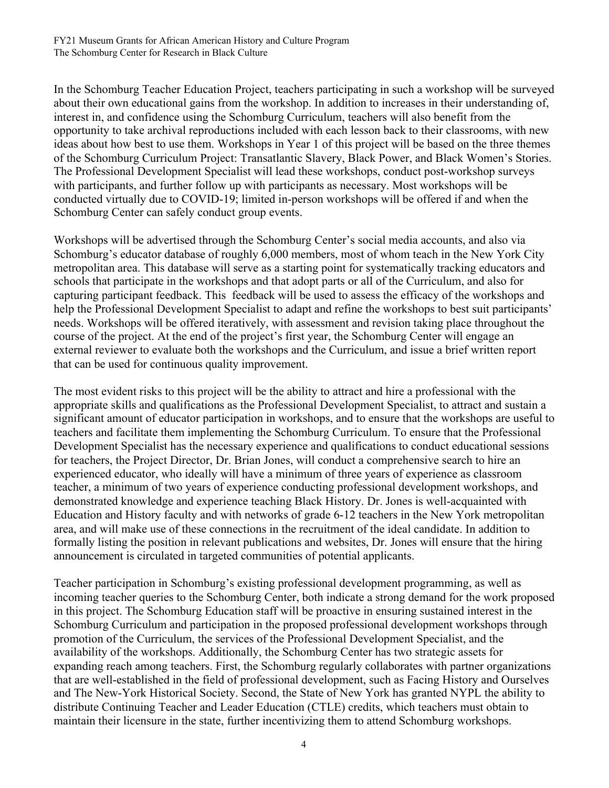In the Schomburg Teacher Education Project, teachers participating in such a workshop will be surveyed about their own educational gains from the workshop. In addition to increases in their understanding of, interest in, and confidence using the Schomburg Curriculum, teachers will also benefit from the opportunity to take archival reproductions included with each lesson back to their classrooms, with new ideas about how best to use them. Workshops in Year 1 of this project will be based on the three themes of the Schomburg Curriculum Project: Transatlantic Slavery, Black Power, and Black Women's Stories. The Professional Development Specialist will lead these workshops, conduct post-workshop surveys with participants, and further follow up with participants as necessary. Most workshops will be conducted virtually due to COVID-19; limited in-person workshops will be offered if and when the Schomburg Center can safely conduct group events.

Workshops will be advertised through the Schomburg Center's social media accounts, and also via Schomburg's educator database of roughly 6,000 members, most of whom teach in the New York City metropolitan area. This database will serve as a starting point for systematically tracking educators and schools that participate in the workshops and that adopt parts or all of the Curriculum, and also for capturing participant feedback. This feedback will be used to assess the efficacy of the workshops and help the Professional Development Specialist to adapt and refine the workshops to best suit participants' needs. Workshops will be offered iteratively, with assessment and revision taking place throughout the course of the project. At the end of the project's first year, the Schomburg Center will engage an external reviewer to evaluate both the workshops and the Curriculum, and issue a brief written report that can be used for continuous quality improvement.

The most evident risks to this project will be the ability to attract and hire a professional with the appropriate skills and qualifications as the Professional Development Specialist, to attract and sustain a significant amount of educator participation in workshops, and to ensure that the workshops are useful to teachers and facilitate them implementing the Schomburg Curriculum. To ensure that the Professional Development Specialist has the necessary experience and qualifications to conduct educational sessions for teachers, the Project Director, Dr. Brian Jones, will conduct a comprehensive search to hire an experienced educator, who ideally will have a minimum of three years of experience as classroom teacher, a minimum of two years of experience conducting professional development workshops, and demonstrated knowledge and experience teaching Black History. Dr. Jones is well-acquainted with Education and History faculty and with networks of grade 6-12 teachers in the New York metropolitan area, and will make use of these connections in the recruitment of the ideal candidate. In addition to formally listing the position in relevant publications and websites, Dr. Jones will ensure that the hiring announcement is circulated in targeted communities of potential applicants.

Teacher participation in Schomburg's existing professional development programming, as well as incoming teacher queries to the Schomburg Center, both indicate a strong demand for the work proposed in this project. The Schomburg Education staff will be proactive in ensuring sustained interest in the Schomburg Curriculum and participation in the proposed professional development workshops through promotion of the Curriculum, the services of the Professional Development Specialist, and the availability of the workshops. Additionally, the Schomburg Center has two strategic assets for expanding reach among teachers. First, the Schomburg regularly collaborates with partner organizations that are well-established in the field of professional development, such as Facing History and Ourselves and The New-York Historical Society. Second, the State of New York has granted NYPL the ability to distribute Continuing Teacher and Leader Education (CTLE) credits, which teachers must obtain to maintain their licensure in the state, further incentivizing them to attend Schomburg workshops.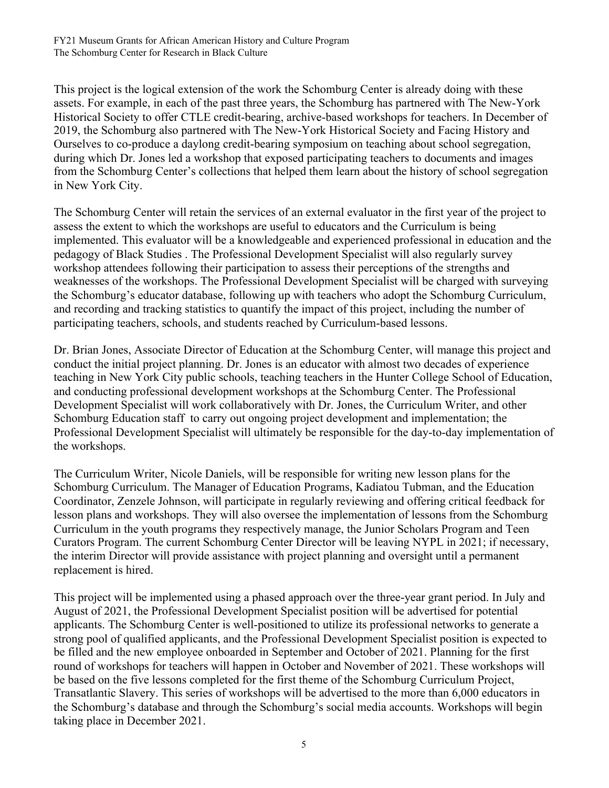This project is the logical extension of the work the Schomburg Center is already doing with these assets. For example, in each of the past three years, the Schomburg has partnered with The New-York Historical Society to offer CTLE credit-bearing, archive-based workshops for teachers. In December of 2019, the Schomburg also partnered with The New-York Historical Society and Facing History and Ourselves to co-produce a daylong credit-bearing symposium on teaching about school segregation, during which Dr. Jones led a workshop that exposed participating teachers to documents and images from the Schomburg Center's collections that helped them learn about the history of school segregation in New York City.

The Schomburg Center will retain the services of an external evaluator in the first year of the project to assess the extent to which the workshops are useful to educators and the Curriculum is being implemented. This evaluator will be a knowledgeable and experienced professional in education and the pedagogy of Black Studies . The Professional Development Specialist will also regularly survey workshop attendees following their participation to assess their perceptions of the strengths and weaknesses of the workshops. The Professional Development Specialist will be charged with surveying the Schomburg's educator database, following up with teachers who adopt the Schomburg Curriculum, and recording and tracking statistics to quantify the impact of this project, including the number of participating teachers, schools, and students reached by Curriculum-based lessons.

Dr. Brian Jones, Associate Director of Education at the Schomburg Center, will manage this project and conduct the initial project planning. Dr. Jones is an educator with almost two decades of experience teaching in New York City public schools, teaching teachers in the Hunter College School of Education, and conducting professional development workshops at the Schomburg Center. The Professional Development Specialist will work collaboratively with Dr. Jones, the Curriculum Writer, and other Schomburg Education staff to carry out ongoing project development and implementation; the Professional Development Specialist will ultimately be responsible for the day-to-day implementation of the workshops.

The Curriculum Writer, Nicole Daniels, will be responsible for writing new lesson plans for the Schomburg Curriculum. The Manager of Education Programs, Kadiatou Tubman, and the Education Coordinator, Zenzele Johnson, will participate in regularly reviewing and offering critical feedback for lesson plans and workshops. They will also oversee the implementation of lessons from the Schomburg Curriculum in the youth programs they respectively manage, the Junior Scholars Program and Teen Curators Program. The current Schomburg Center Director will be leaving NYPL in 2021; if necessary, the interim Director will provide assistance with project planning and oversight until a permanent replacement is hired.

This project will be implemented using a phased approach over the three-year grant period. In July and August of 2021, the Professional Development Specialist position will be advertised for potential applicants. The Schomburg Center is well-positioned to utilize its professional networks to generate a strong pool of qualified applicants, and the Professional Development Specialist position is expected to be filled and the new employee onboarded in September and October of 2021. Planning for the first round of workshops for teachers will happen in October and November of 2021. These workshops will be based on the five lessons completed for the first theme of the Schomburg Curriculum Project, Transatlantic Slavery. This series of workshops will be advertised to the more than 6,000 educators in the Schomburg's database and through the Schomburg's social media accounts. Workshops will begin taking place in December 2021.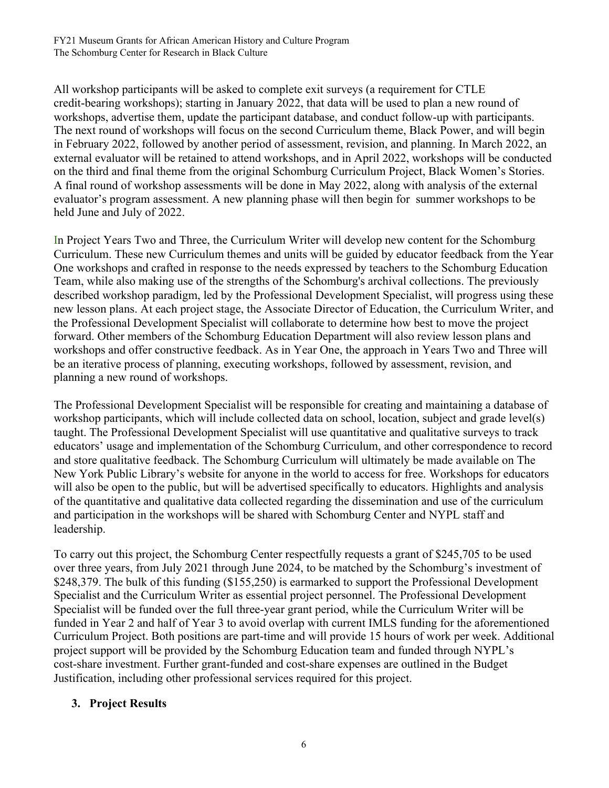All workshop participants will be asked to complete exit surveys (a requirement for CTLE credit-bearing workshops); starting in January 2022, that data will be used to plan a new round of workshops, advertise them, update the participant database, and conduct follow-up with participants. The next round of workshops will focus on the second Curriculum theme, Black Power, and will begin in February 2022, followed by another period of assessment, revision, and planning. In March 2022, an external evaluator will be retained to attend workshops, and in April 2022, workshops will be conducted on the third and final theme from the original Schomburg Curriculum Project, Black Women's Stories. A final round of workshop assessments will be done in May 2022, along with analysis of the external evaluator's program assessment. A new planning phase will then begin for summer workshops to be held June and July of 2022.

In Project Years Two and Three, the Curriculum Writer will develop new content for the Schomburg Curriculum. These new Curriculum themes and units will be guided by educator feedback from the Year One workshops and crafted in response to the needs expressed by teachers to the Schomburg Education Team, while also making use of the strengths of the Schomburg's archival collections. The previously described workshop paradigm, led by the Professional Development Specialist, will progress using these new lesson plans. At each project stage, the Associate Director of Education, the Curriculum Writer, and the Professional Development Specialist will collaborate to determine how best to move the project forward. Other members of the Schomburg Education Department will also review lesson plans and workshops and offer constructive feedback. As in Year One, the approach in Years Two and Three will be an iterative process of planning, executing workshops, followed by assessment, revision, and planning a new round of workshops.

The Professional Development Specialist will be responsible for creating and maintaining a database of workshop participants, which will include collected data on school, location, subject and grade level(s) taught. The Professional Development Specialist will use quantitative and qualitative surveys to track educators' usage and implementation of the Schomburg Curriculum, and other correspondence to record and store qualitative feedback. The Schomburg Curriculum will ultimately be made available on The New York Public Library's website for anyone in the world to access for free. Workshops for educators will also be open to the public, but will be advertised specifically to educators. Highlights and analysis of the quantitative and qualitative data collected regarding the dissemination and use of the curriculum and participation in the workshops will be shared with Schomburg Center and NYPL staff and leadership.

To carry out this project, the Schomburg Center respectfully requests a grant of \$245,705 to be used over three years, from July 2021 through June 2024, to be matched by the Schomburg's investment of \$248,379. The bulk of this funding (\$155,250) is earmarked to support the Professional Development Specialist and the Curriculum Writer as essential project personnel. The Professional Development Specialist will be funded over the full three-year grant period, while the Curriculum Writer will be funded in Year 2 and half of Year 3 to avoid overlap with current IMLS funding for the aforementioned Curriculum Project. Both positions are part-time and will provide 15 hours of work per week. Additional project support will be provided by the Schomburg Education team and funded through NYPL's cost-share investment. Further grant-funded and cost-share expenses are outlined in the Budget Justification, including other professional services required for this project.

# **3. Project Results**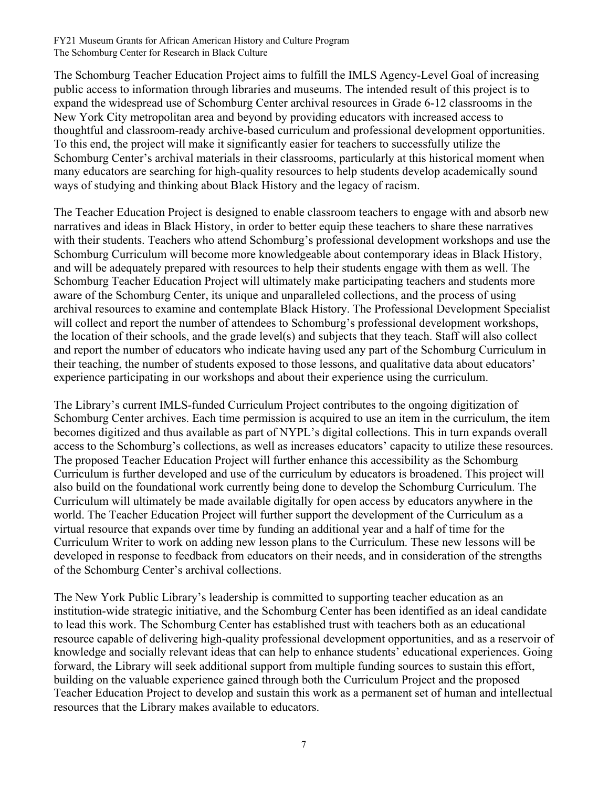The Schomburg Teacher Education Project aims to fulfill the IMLS Agency-Level Goal of increasing public access to information through libraries and museums. The intended result of this project is to expand the widespread use of Schomburg Center archival resources in Grade 6-12 classrooms in the New York City metropolitan area and beyond by providing educators with increased access to thoughtful and classroom-ready archive-based curriculum and professional development opportunities. To this end, the project will make it significantly easier for teachers to successfully utilize the Schomburg Center's archival materials in their classrooms, particularly at this historical moment when many educators are searching for high-quality resources to help students develop academically sound ways of studying and thinking about Black History and the legacy of racism.

The Teacher Education Project is designed to enable classroom teachers to engage with and absorb new narratives and ideas in Black History, in order to better equip these teachers to share these narratives with their students. Teachers who attend Schomburg's professional development workshops and use the Schomburg Curriculum will become more knowledgeable about contemporary ideas in Black History, and will be adequately prepared with resources to help their students engage with them as well. The Schomburg Teacher Education Project will ultimately make participating teachers and students more aware of the Schomburg Center, its unique and unparalleled collections, and the process of using archival resources to examine and contemplate Black History. The Professional Development Specialist will collect and report the number of attendees to Schomburg's professional development workshops, the location of their schools, and the grade level(s) and subjects that they teach. Staff will also collect and report the number of educators who indicate having used any part of the Schomburg Curriculum in their teaching, the number of students exposed to those lessons, and qualitative data about educators' experience participating in our workshops and about their experience using the curriculum.

The Library's current IMLS-funded Curriculum Project contributes to the ongoing digitization of Schomburg Center archives. Each time permission is acquired to use an item in the curriculum, the item becomes digitized and thus available as part of NYPL's digital collections. This in turn expands overall access to the Schomburg's collections, as well as increases educators' capacity to utilize these resources. The proposed Teacher Education Project will further enhance this accessibility as the Schomburg Curriculum is further developed and use of the curriculum by educators is broadened. This project will also build on the foundational work currently being done to develop the Schomburg Curriculum. The Curriculum will ultimately be made available digitally for open access by educators anywhere in the world. The Teacher Education Project will further support the development of the Curriculum as a virtual resource that expands over time by funding an additional year and a half of time for the Curriculum Writer to work on adding new lesson plans to the Curriculum. These new lessons will be developed in response to feedback from educators on their needs, and in consideration of the strengths of the Schomburg Center's archival collections.

The New York Public Library's leadership is committed to supporting teacher education as an institution-wide strategic initiative, and the Schomburg Center has been identified as an ideal candidate to lead this work. The Schomburg Center has established trust with teachers both as an educational resource capable of delivering high-quality professional development opportunities, and as a reservoir of knowledge and socially relevant ideas that can help to enhance students' educational experiences. Going forward, the Library will seek additional support from multiple funding sources to sustain this effort, building on the valuable experience gained through both the Curriculum Project and the proposed Teacher Education Project to develop and sustain this work as a permanent set of human and intellectual resources that the Library makes available to educators.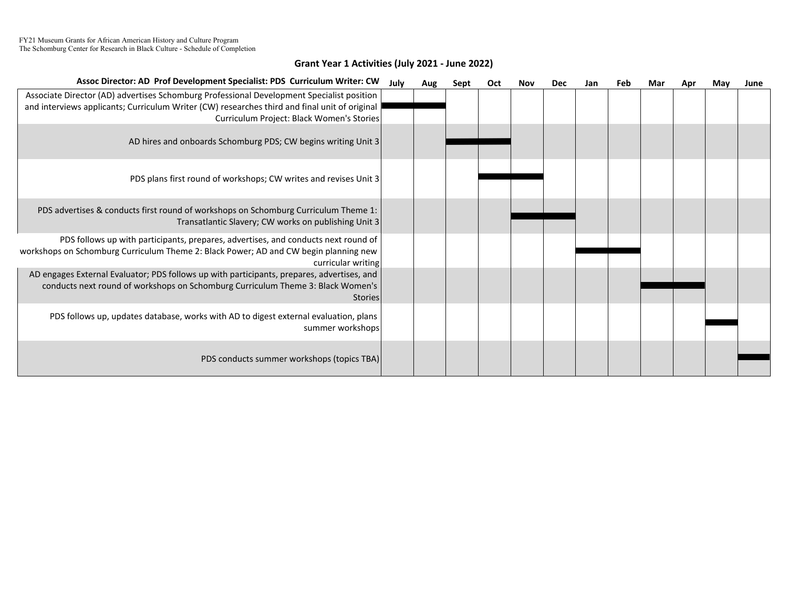#### Grant Year 1 Activities (July 2021 - June 2022)

| Assoc Director: AD Prof Development Specialist: PDS Curriculum Writer: CW                                                                                                                                                               | July | Aug | Sept | Oct | Nov | <b>Dec</b> | Jan | <b>Feb</b> | Mar | Apr | May | June |
|-----------------------------------------------------------------------------------------------------------------------------------------------------------------------------------------------------------------------------------------|------|-----|------|-----|-----|------------|-----|------------|-----|-----|-----|------|
| Associate Director (AD) advertises Schomburg Professional Development Specialist position<br>and interviews applicants; Curriculum Writer (CW) researches third and final unit of original<br>Curriculum Project: Black Women's Stories |      |     |      |     |     |            |     |            |     |     |     |      |
| AD hires and onboards Schomburg PDS; CW begins writing Unit 3                                                                                                                                                                           |      |     |      |     |     |            |     |            |     |     |     |      |
| PDS plans first round of workshops; CW writes and revises Unit 3                                                                                                                                                                        |      |     |      |     |     |            |     |            |     |     |     |      |
| PDS advertises & conducts first round of workshops on Schomburg Curriculum Theme 1:<br>Transatlantic Slavery; CW works on publishing Unit 3                                                                                             |      |     |      |     |     |            |     |            |     |     |     |      |
| PDS follows up with participants, prepares, advertises, and conducts next round of<br>workshops on Schomburg Curriculum Theme 2: Black Power; AD and CW begin planning new<br>curricular writing                                        |      |     |      |     |     |            |     |            |     |     |     |      |
| AD engages External Evaluator; PDS follows up with participants, prepares, advertises, and<br>conducts next round of workshops on Schomburg Curriculum Theme 3: Black Women's<br><b>Stories</b>                                         |      |     |      |     |     |            |     |            |     |     |     |      |
| PDS follows up, updates database, works with AD to digest external evaluation, plans<br>summer workshops                                                                                                                                |      |     |      |     |     |            |     |            |     |     |     |      |
| PDS conducts summer workshops (topics TBA)                                                                                                                                                                                              |      |     |      |     |     |            |     |            |     |     |     |      |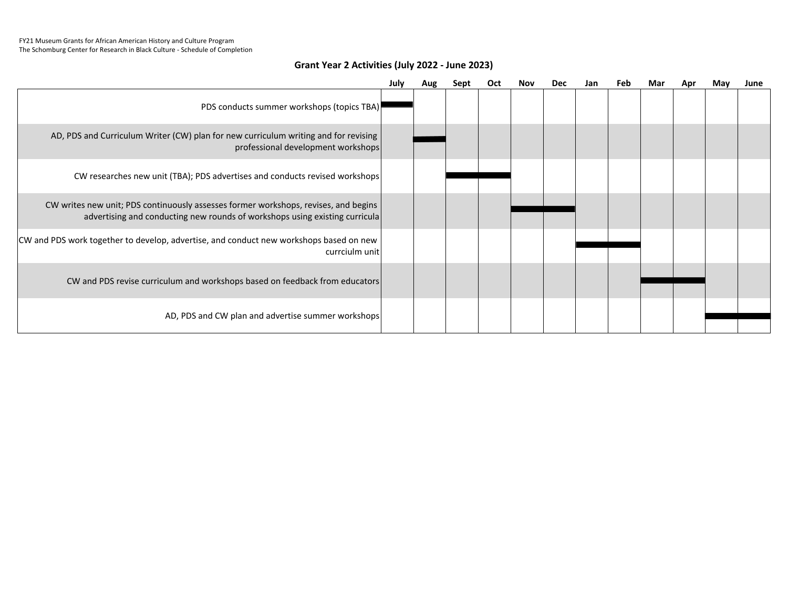#### Grant Year 2 Activities (July 2022 - June 2023)

|                                                                                                                                                                    | July | Aug | Sept | <b>Oct</b> | Nov | <b>Dec</b> | Jan | Feb | Mar | Apr | May | June |
|--------------------------------------------------------------------------------------------------------------------------------------------------------------------|------|-----|------|------------|-----|------------|-----|-----|-----|-----|-----|------|
| PDS conducts summer workshops (topics TBA)                                                                                                                         |      |     |      |            |     |            |     |     |     |     |     |      |
| AD, PDS and Curriculum Writer (CW) plan for new curriculum writing and for revising<br>professional development workshops                                          |      |     |      |            |     |            |     |     |     |     |     |      |
| CW researches new unit (TBA); PDS advertises and conducts revised workshops                                                                                        |      |     |      |            |     |            |     |     |     |     |     |      |
| CW writes new unit; PDS continuously assesses former workshops, revises, and begins<br>advertising and conducting new rounds of workshops using existing curricula |      |     |      |            |     |            |     |     |     |     |     |      |
| CW and PDS work together to develop, advertise, and conduct new workshops based on new<br>currciulm unit                                                           |      |     |      |            |     |            |     |     |     |     |     |      |
| CW and PDS revise curriculum and workshops based on feedback from educators                                                                                        |      |     |      |            |     |            |     |     |     |     |     |      |
| AD, PDS and CW plan and advertise summer workshops                                                                                                                 |      |     |      |            |     |            |     |     |     |     |     |      |